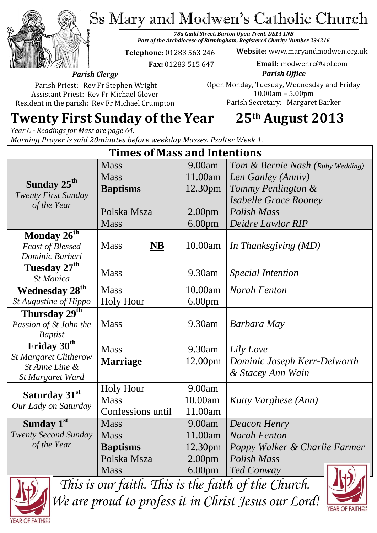Ss Mary and Modwen's Catholic Church



*78a Guild Street, Burton Upon Trent, DE14 1NB Part of the Archdiocese of Birmingham, Registered Charity Number 234216*

**Telephone:** 01283 563 246

 **Fax:** 01283 515 647

**Website:** www.maryandmodwen.org.uk **Email:** modwenrc@aol.com

*Parish Clergy* Parish Priest: Rev Fr Stephen Wright

Assistant Priest: Rev Fr Michael Glover Resident in the parish: Rev Fr Michael Crumpton

*Parish Office* Open Monday, Tuesday, Wednesday and Friday 10.00am – 5.00pm Parish Secretary:Margaret Barker

# **Twenty First Sunday of the Year 25th August 2013**

*Year C - Readings for Mass are page 64. Morning Prayer is said 20minutes before weekday Masses. Psalter Week 1.*

| <b>Times of Mass and Intentions</b>               |                                    |                    |                                  |
|---------------------------------------------------|------------------------------------|--------------------|----------------------------------|
|                                                   | <b>Mass</b>                        | 9.00am             | Tom & Bernie Nash (Ruby Wedding) |
| Sunday 25 <sup>th</sup>                           | <b>Mass</b>                        | 11.00am            | Len Ganley (Anniv)               |
|                                                   | <b>Baptisms</b>                    | 12.30pm            | Tommy Penlington &               |
| <b>Twenty First Sunday</b>                        |                                    |                    | <b>Isabelle Grace Rooney</b>     |
| of the Year                                       | Polska Msza                        | 2.00 <sub>pm</sub> | <b>Polish Mass</b>               |
|                                                   | <b>Mass</b>                        | 6.00 <sub>pm</sub> | Deidre Lawlor RIP                |
| Monday $26^{th}$                                  |                                    |                    |                                  |
| <b>Feast of Blessed</b>                           | <b>Mass</b><br>$\overline{\bf NB}$ | 10.00am            | In Thanksgiving (MD)             |
| Dominic Barberi                                   |                                    |                    |                                  |
| Tuesday 27 <sup>th</sup>                          | <b>Mass</b>                        | 9.30am             | <b>Special Intention</b>         |
| <b>St Monica</b>                                  |                                    |                    |                                  |
| <b>Wednesday 28th</b>                             | <b>Mass</b>                        | 10.00am            | <b>Norah Fenton</b>              |
| St Augustine of Hippo                             | <b>Holy Hour</b>                   | 6.00 <sub>pm</sub> |                                  |
| Thursday 29 <sup>th</sup>                         |                                    |                    |                                  |
| Passion of St John the                            | <b>Mass</b>                        | 9.30am             | Barbara May                      |
| <b>Baptist</b>                                    |                                    |                    |                                  |
| Friday 30th                                       | <b>Mass</b>                        | 9.30am             | Lily Love                        |
| <b>St Margaret Clitherow</b>                      | <b>Marriage</b>                    | 12.00pm            | Dominic Joseph Kerr-Delworth     |
| St Anne Line &<br><b>St Margaret Ward</b>         |                                    |                    | & Stacey Ann Wain                |
| Saturday 31 <sup>st</sup><br>Our Lady on Saturday | <b>Holy Hour</b>                   | 9.00am             |                                  |
|                                                   | <b>Mass</b>                        | 10.00am            | Kutty Varghese (Ann)             |
|                                                   | Confessions until                  | 11.00am            |                                  |
| Sunday 1st                                        | <b>Mass</b>                        | 9.00am             | <b>Deacon Henry</b>              |
| <b>Twenty Second Sunday</b>                       | <b>Mass</b>                        | 11.00am            | <b>Norah Fenton</b>              |
| of the Year                                       | <b>Baptisms</b>                    | 12.30pm            | Poppy Walker & Charlie Farmer    |
|                                                   | Polska Msza                        |                    | <b>Polish Mass</b>               |
|                                                   |                                    | 2.00 <sub>pm</sub> |                                  |
|                                                   | <b>Mass</b>                        | 6.00 <sub>pm</sub> | <b>Ted Conway</b><br>LS          |



*This is our faith. This is the faith of the Church. We are proud to profess it in Christ Jesus our Lord!*

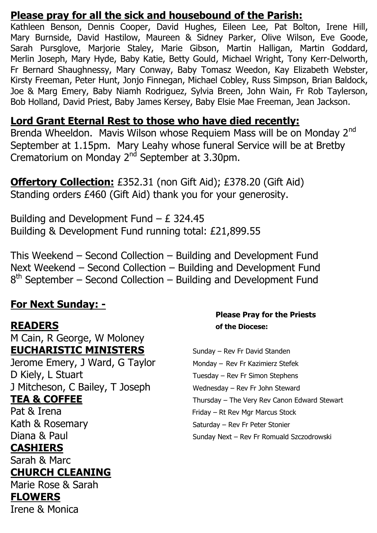#### **Please pray for all the sick and housebound of the Parish:**

Kathleen Benson, Dennis Cooper, David Hughes, Eileen Lee, Pat Bolton, Irene Hill, Mary Burnside, David Hastilow, Maureen & Sidney Parker, Olive Wilson, Eve Goode, Sarah Pursglove, Marjorie Staley, Marie Gibson, Martin Halligan, Martin Goddard, Merlin Joseph, Mary Hyde, Baby Katie, Betty Gould, Michael Wright, Tony Kerr-Delworth, Fr Bernard Shaughnessy, Mary Conway, Baby Tomasz Weedon, Kay Elizabeth Webster, Kirsty Freeman, Peter Hunt, Jonjo Finnegan, Michael Cobley, Russ Simpson, Brian Baldock, Joe & Marg Emery, Baby Niamh Rodriguez, Sylvia Breen, John Wain, Fr Rob Taylerson, Bob Holland, David Priest, Baby James Kersey, Baby Elsie Mae Freeman, Jean Jackson.

#### **Lord Grant Eternal Rest to those who have died recently:**

Brenda Wheeldon. Mavis Wilson whose Requiem Mass will be on Monday 2<sup>nd</sup> September at 1.15pm. Mary Leahy whose funeral Service will be at Bretby Crematorium on Monday  $2<sup>nd</sup>$  September at 3.30pm.

**Offertory Collection:** £352.31 (non Gift Aid); £378.20 (Gift Aid) Standing orders £460 (Gift Aid) thank you for your generosity.

Building and Development Fund  $- E$  324.45 Building & Development Fund running total: £21,899.55

This Weekend – Second Collection – Building and Development Fund Next Weekend – Second Collection – Building and Development Fund 8<sup>th</sup> September – Second Collection – Building and Development Fund

### **For Next Sunday: -**

M Cain, R George, W Moloney **EUCHARISTIC MINISTERS** Sunday – Rev Fr David Standen Jerome Emery, J Ward, G Taylor Monday – Rev Fr Kazimierz Stefek D Kiely, L Stuart Tuesday – Rev Fr Simon Stephens J Mitcheson, C Bailey, T Joseph Wednesday - Rev Fr John Steward Pat & Irena Friday – Rt Rev Mar Marcus Stock Kath & Rosemary Saturday – Rev Fr Peter Stonier

#### **CASHIERS**

Sarah & Marc

#### **CHURCH CLEANING**

Marie Rose & Sarah

#### **FLOWERS**

Irene & Monica

#### **Please Pray for the Priests READERS of the Diocese:**

TEA & COFFEE Thursday – The Very Rev Canon Edward Stewart Diana & Paul Sunday Next – Rev Fr Romuald Szczodrowski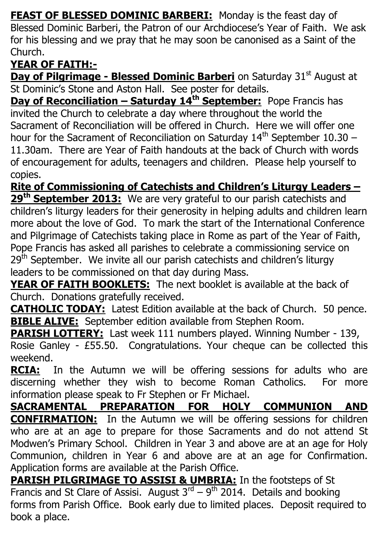**FEAST OF BLESSED DOMINIC BARBERI:** Monday is the feast day of Blessed Dominic Barberi, the Patron of our Archdiocese's Year of Faith. We ask for his blessing and we pray that he may soon be canonised as a Saint of the Church.

# **YEAR OF FAITH:-**

**Day of Pilgrimage - Blessed Dominic Barberi** on Saturday 31<sup>st</sup> August at St Dominic's Stone and Aston Hall. See poster for details.

**Day of Reconciliation – Saturday 14th September:** Pope Francis has invited the Church to celebrate a day where throughout the world the Sacrament of Reconciliation will be offered in Church. Here we will offer one hour for the Sacrament of Reconciliation on Saturday  $14<sup>th</sup>$  September 10.30 – 11.30am. There are Year of Faith handouts at the back of Church with words of encouragement for adults, teenagers and children. Please help yourself to copies.

**Rite of Commissioning of Catechists and Children's Liturgy Leaders – 29th September 2013:** We are very grateful to our parish catechists and children's liturgy leaders for their generosity in helping adults and children learn more about the love of God. To mark the start of the International Conference and Pilgrimage of Catechists taking place in Rome as part of the Year of Faith, Pope Francis has asked all parishes to celebrate a commissioning service on 29<sup>th</sup> September. We invite all our parish catechists and children's liturgy leaders to be commissioned on that day during Mass.

**YEAR OF FAITH BOOKLETS:** The next booklet is available at the back of Church. Donations gratefully received.

**CATHOLIC TODAY:** Latest Edition available at the back of Church. 50 pence. **BIBLE ALIVE:** September edition available from Stephen Room.

**PARISH LOTTERY:** Last week 111 numbers played. Winning Number - 139, Rosie Ganley - £55.50. Congratulations. Your cheque can be collected this weekend.

**RCIA:** In the Autumn we will be offering sessions for adults who are discerning whether they wish to become Roman Catholics. For more information please speak to Fr Stephen or Fr Michael.

**SACRAMENTAL PREPARATION FOR HOLY COMMUNION AND CONFIRMATION:** In the Autumn we will be offering sessions for children who are at an age to prepare for those Sacraments and do not attend St Modwen's Primary School. Children in Year 3 and above are at an age for Holy Communion, children in Year 6 and above are at an age for Confirmation. Application forms are available at the Parish Office.

**PARISH PILGRIMAGE TO ASSISI & UMBRIA:** In the footsteps of St Francis and St Clare of Assisi. August  $3^{rd} - 9^{th}$  2014. Details and booking forms from Parish Office. Book early due to limited places. Deposit required to book a place.